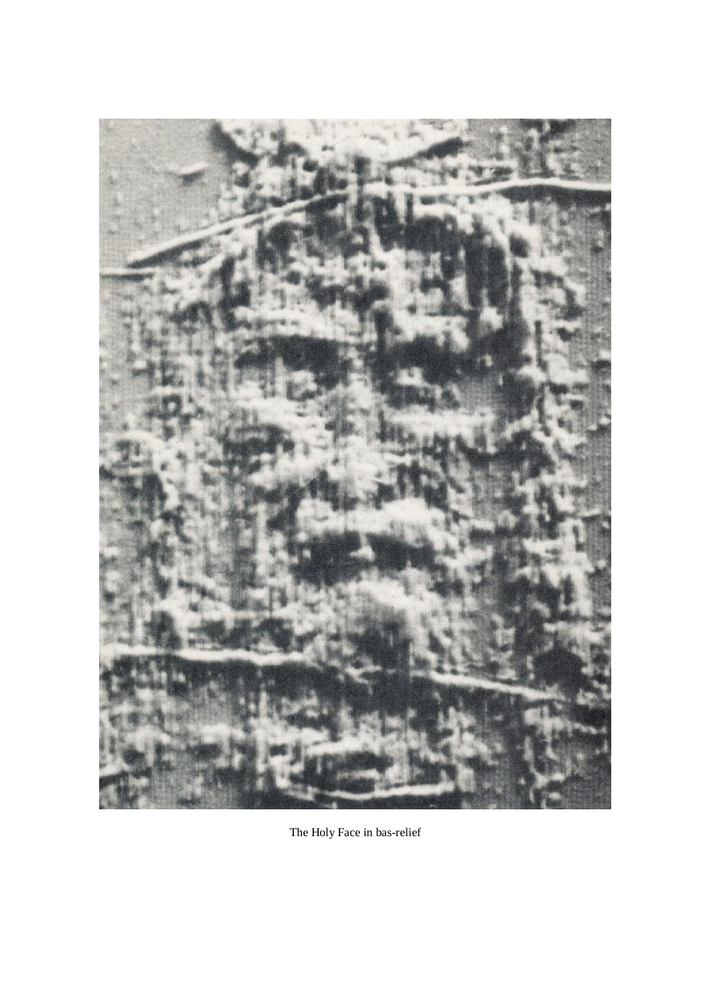

The Holy Face in bas-relief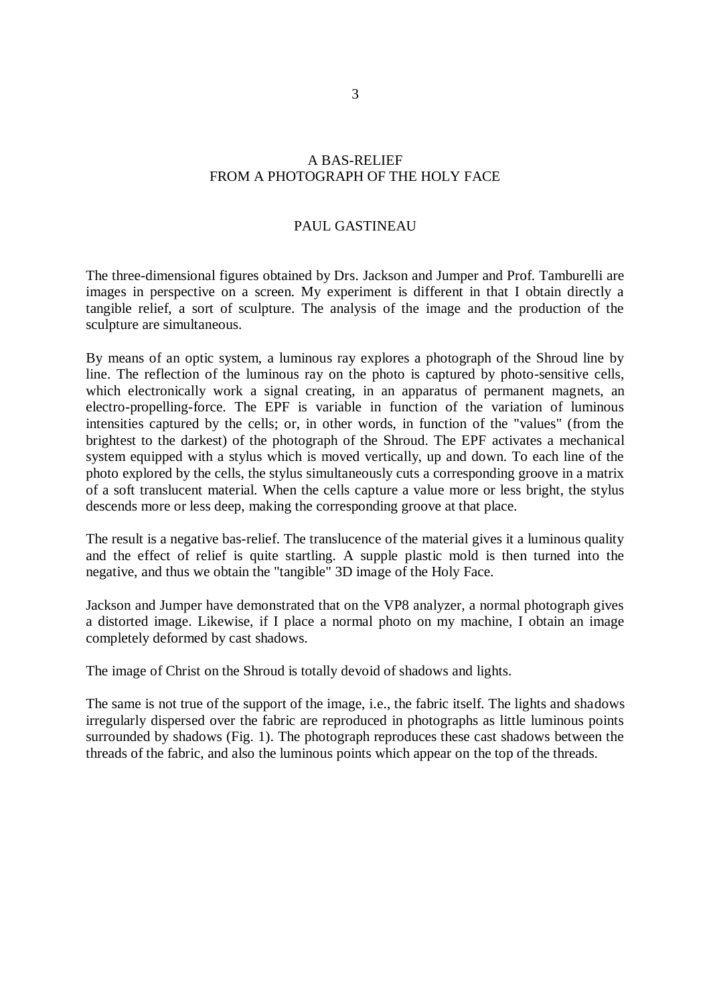## A BAS-RELIEF FROM A PHOTOGRAPH OF THE HOLY FACE

## PAUL GASTINEAU

The three-dimensional figures obtained by Drs. Jackson and Jumper and Prof. Tamburelli are images in perspective on a screen. My experiment is different in that I obtain directly a tangible relief, a sort of sculpture. The analysis of the image and the production of the sculpture are simultaneous.

By means of an optic system, a luminous ray explores a photograph of the Shroud line by line. The reflection of the luminous ray on the photo is captured by photo-sensitive cells, which electronically work a signal creating, in an apparatus of permanent magnets, an electro-propelling-force. The EPF is variable in function of the variation of luminous intensities captured by the cells; or, in other words, in function of the "values" (from the brightest to the darkest) of the photograph of the Shroud. The EPF activates a mechanical system equipped with a stylus which is moved vertically, up and down. To each line of the photo explored by the cells, the stylus simultaneously cuts a corresponding groove in a matrix of a soft translucent material. When the cells capture a value more or less bright, the stylus descends more or less deep, making the corresponding groove at that place.

The result is a negative bas-relief. The translucence of the material gives it a luminous quality and the effect of relief is quite startling. A supple plastic mold is then turned into the negative, and thus we obtain the "tangible" 3D image of the Holy Face.

Jackson and Jumper have demonstrated that on the VP8 analyzer, a normal photograph gives a distorted image. Likewise, if I place a normal photo on my machine, I obtain an image completely deformed by cast shadows.

The image of Christ on the Shroud is totally devoid of shadows and lights.

The same is not true of the support of the image, i.e., the fabric itself. The lights and shadows irregularly dispersed over the fabric are reproduced in photographs as little luminous points surrounded by shadows (Fig. 1). The photograph reproduces these cast shadows between the threads of the fabric, and also the luminous points which appear on the top of the threads.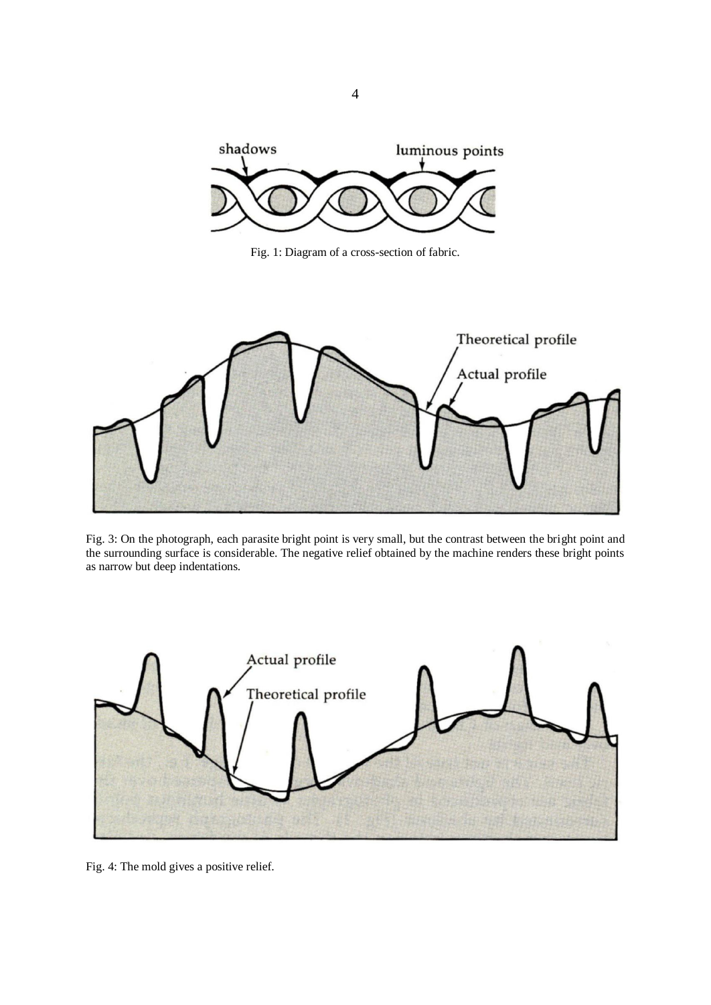

Fig. 1: Diagram of a cross-section of fabric.



Fig. 3: On the photograph, each parasite bright point is very small, but the contrast between the bright point and the surrounding surface is considerable. The negative relief obtained by the machine renders these bright points as narrow but deep indentations.



Fig. 4: The mold gives a positive relief.